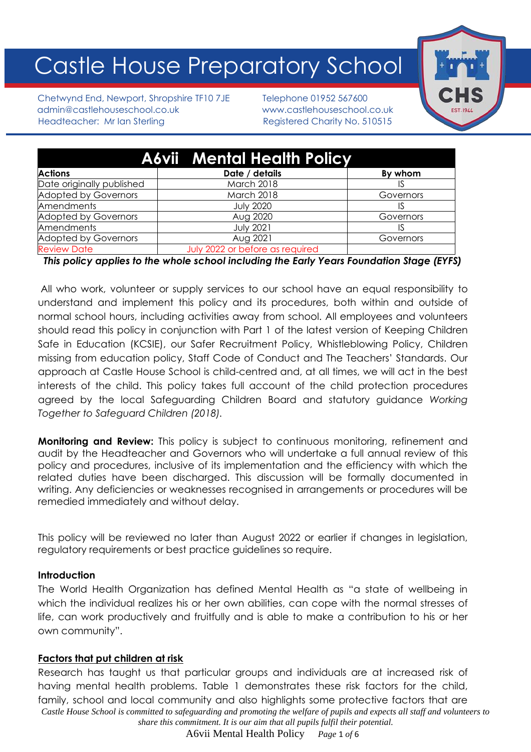# Castle House Preparatory School

Chetwynd End, Newport, Shropshire TF10 7JE Telephone 01952 567600 admin@castlehouseschool.co.uk www.castlehouseschool.co.uk Headteacher: Mr Ian Sterling Theory Registered Charity No. 510515



|                             | <b>A6vii</b> Mental Health Policy |           |
|-----------------------------|-----------------------------------|-----------|
| <b>Actions</b>              | Date / details                    | By whom   |
| Date originally published   | March 2018                        |           |
| <b>Adopted by Governors</b> | March 2018                        | Governors |
| Amendments                  | <b>July 2020</b>                  |           |
| <b>Adopted by Governors</b> | Aug 2020                          | Governors |
| Amendments                  | <b>July 2021</b>                  |           |
| <b>Adopted by Governors</b> | Aug 2021                          | Governors |
| <b>Review Date</b>          | July 2022 or before as required   |           |

*This policy applies to the whole school including the Early Years Foundation Stage (EYFS)*

All who work, volunteer or supply services to our school have an equal responsibility to understand and implement this policy and its procedures, both within and outside of normal school hours, including activities away from school. All employees and volunteers should read this policy in conjunction with Part 1 of the latest version of Keeping Children Safe in Education (KCSIE), our Safer Recruitment Policy, Whistleblowing Policy, Children missing from education policy, Staff Code of Conduct and The Teachers' Standards. Our approach at Castle House School is child-centred and, at all times, we will act in the best interests of the child. This policy takes full account of the child protection procedures agreed by the local Safeguarding Children Board and statutory guidance *Working Together to Safeguard Children (2018).*

**Monitoring and Review:** This policy is subject to continuous monitoring, refinement and audit by the Headteacher and Governors who will undertake a full annual review of this policy and procedures, inclusive of its implementation and the efficiency with which the related duties have been discharged. This discussion will be formally documented in writing. Any deficiencies or weaknesses recognised in arrangements or procedures will be remedied immediately and without delay.

This policy will be reviewed no later than August 2022 or earlier if changes in legislation, regulatory requirements or best practice guidelines so require.

#### **Introduction**

The World Health Organization has defined Mental Health as "a state of wellbeing in which the individual realizes his or her own abilities, can cope with the normal stresses of life, can work productively and fruitfully and is able to make a contribution to his or her own community".

#### **Factors that put children at risk**

*Castle House School is committed to safeguarding and promoting the welfare of pupils and expects all staff and volunteers to share this commitment. It is our aim that all pupils fulfil their potential.* Research has taught us that particular groups and individuals are at increased risk of having mental health problems. Table 1 demonstrates these risk factors for the child, family, school and local community and also highlights some protective factors that are

A6vii Mental Health Policy *Page* 1 *of* 6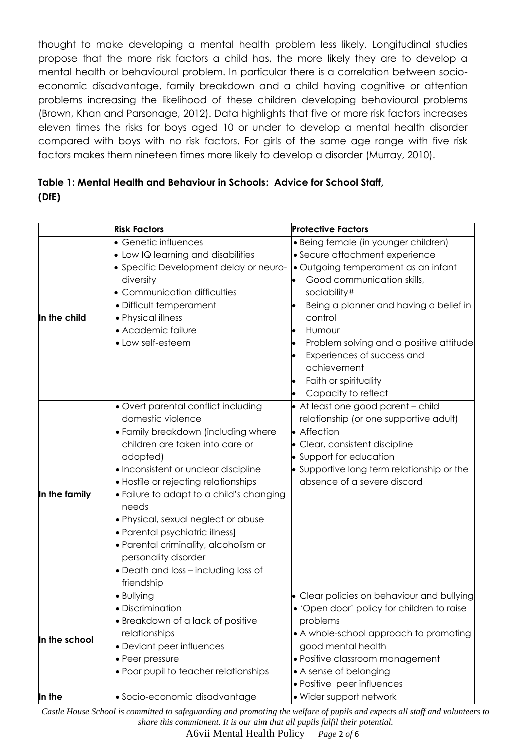thought to make developing a mental health problem less likely. Longitudinal studies propose that the more risk factors a child has, the more likely they are to develop a mental health or behavioural problem. In particular there is a correlation between socioeconomic disadvantage, family breakdown and a child having cognitive or attention problems increasing the likelihood of these children developing behavioural problems (Brown, Khan and Parsonage, 2012). Data highlights that five or more risk factors increases eleven times the risks for boys aged 10 or under to develop a mental health disorder compared with boys with no risk factors. For girls of the same age range with five risk factors makes them nineteen times more likely to develop a disorder (Murray, 2010).

# **Table 1: Mental Health and Behaviour in Schools: Advice for School Staff, (DfE)**

|               | <b>Risk Factors</b>                                                                                                                                                                                                                                                                                                                                                                                                                                                                  | <b>Protective Factors</b>                                                                                                                                                                                                                                                                                                                                          |
|---------------|--------------------------------------------------------------------------------------------------------------------------------------------------------------------------------------------------------------------------------------------------------------------------------------------------------------------------------------------------------------------------------------------------------------------------------------------------------------------------------------|--------------------------------------------------------------------------------------------------------------------------------------------------------------------------------------------------------------------------------------------------------------------------------------------------------------------------------------------------------------------|
| In the child  | • Genetic influences<br>• Low IQ learning and disabilities<br>• Specific Development delay or neuro-<br>diversity<br>• Communication difficulties<br>· Difficult temperament<br>• Physical illness<br>• Academic failure<br>• Low self-esteem                                                                                                                                                                                                                                        | · Being female (in younger children)<br>• Secure attachment experience<br>· Outgoing temperament as an infant<br>Good communication skills,<br>sociability#<br>Being a planner and having a belief in<br>control<br>Humour<br>Problem solving and a positive attitude<br>Experiences of success and<br>achievement<br>Faith or spirituality<br>Capacity to reflect |
| In the family | • Overt parental conflict including<br>domestic violence<br>• Family breakdown (including where<br>children are taken into care or<br>adopted)<br>• Inconsistent or unclear discipline<br>• Hostile or rejecting relationships<br>. Failure to adapt to a child's changing<br>needs<br>· Physical, sexual neglect or abuse<br>• Parental psychiatric illness]<br>· Parental criminality, alcoholism or<br>personality disorder<br>• Death and loss - including loss of<br>friendship | • At least one good parent - child<br>relationship (or one supportive adult)<br>• Affection<br>• Clear, consistent discipline<br>• Support for education<br>• Supportive long term relationship or the<br>absence of a severe discord                                                                                                                              |
| In the school | · Bullying<br>· Discrimination<br>$\bullet$ Breakdown of a lack of positive<br>relationships<br>• Deviant peer influences<br>• Peer pressure<br>• Poor pupil to teacher relationships                                                                                                                                                                                                                                                                                                | • Clear policies on behaviour and bullying<br>• 'Open door' policy for children to raise<br>problems<br>• A whole-school approach to promoting<br>good mental health<br>· Positive classroom management<br>• A sense of belonging<br>· Positive peer influences                                                                                                    |
| In the        | · Socio-economic disadvantage                                                                                                                                                                                                                                                                                                                                                                                                                                                        | • Wider support network                                                                                                                                                                                                                                                                                                                                            |

*Castle House School is committed to safeguarding and promoting the welfare of pupils and expects all staff and volunteers to share this commitment. It is our aim that all pupils fulfil their potential.*

A6vii Mental Health Policy *Page* 2 *of* 6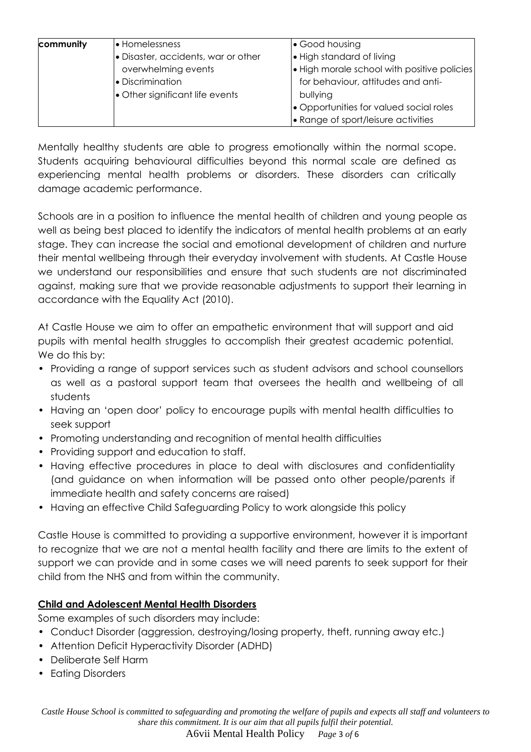| community | <b>•</b> Homelessness               | • Good housing                                    |
|-----------|-------------------------------------|---------------------------------------------------|
|           | · Disaster, accidents, war or other | . High standard of living                         |
|           | overwhelming events                 | $\cdot$ High morale school with positive policies |
|           | • Discrimination                    | for behaviour, attitudes and anti-                |
|           | • Other significant life events     | bullying                                          |
|           |                                     | • Opportunities for valued social roles           |
|           |                                     | • Range of sport/leisure activities               |

Mentally healthy students are able to progress emotionally within the normal scope. Students acquiring behavioural difficulties beyond this normal scale are defined as experiencing mental health problems or disorders. These disorders can critically damage academic performance.

Schools are in a position to influence the mental health of children and young people as well as being best placed to identify the indicators of mental health problems at an early stage. They can increase the social and emotional development of children and nurture their mental wellbeing through their everyday involvement with students. At Castle House we understand our responsibilities and ensure that such students are not discriminated against, making sure that we provide reasonable adjustments to support their learning in accordance with the Equality Act (2010).

At Castle House we aim to offer an empathetic environment that will support and aid pupils with mental health struggles to accomplish their greatest academic potential. We do this by:

- Providing a range of support services such as student advisors and school counsellors as well as a pastoral support team that oversees the health and wellbeing of all students
- Having an 'open door' policy to encourage pupils with mental health difficulties to seek support
- Promoting understanding and recognition of mental health difficulties
- Providing support and education to staff.
- Having effective procedures in place to deal with disclosures and confidentiality (and guidance on when information will be passed onto other people/parents if immediate health and safety concerns are raised)
- Having an effective Child Safeguarding Policy to work alongside this policy

Castle House is committed to providing a supportive environment, however it is important to recognize that we are not a mental health facility and there are limits to the extent of support we can provide and in some cases we will need parents to seek support for their child from the NHS and from within the community.

## **Child and Adolescent Mental Health Disorders**

Some examples of such disorders may include:

- Conduct Disorder (aggression, destroying/losing property, theft, running away etc.)
- Attention Deficit Hyperactivity Disorder (ADHD)
- Deliberate Self Harm
- Eating Disorders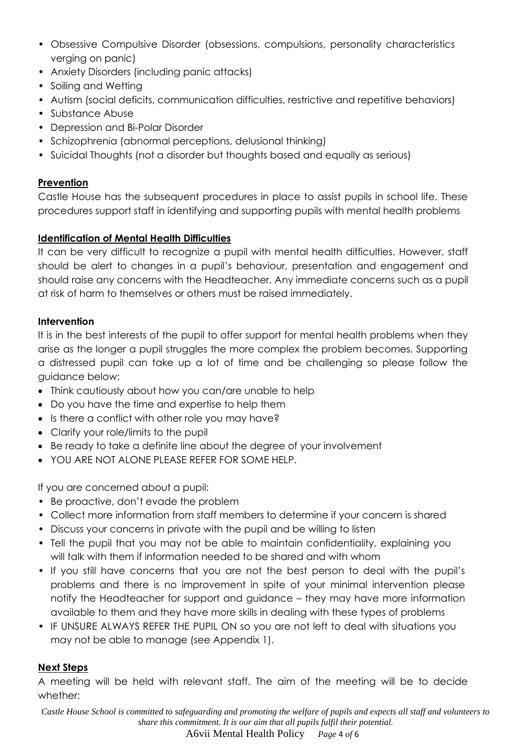- Obsessive Compulsive Disorder (obsessions, compulsions, personality characteristics verging on panic)
- Anxiety Disorders (including panic attacks)
- Soiling and Wetting
- Autism (social deficits, communication difficulties, restrictive and repetitive behaviors)
- Substance Abuse
- Depression and Bi-Polar Disorder
- Schizophrenia (abnormal perceptions, delusional thinking)
- Suicidal Thoughts (not a disorder but thoughts based and equally as serious)

#### **Prevention**

Castle House has the subsequent procedures in place to assist pupils in school life. These procedures support staff in identifying and supporting pupils with mental health problems

## **Identification of Mental Health Difficulties**

It can be very difficult to recognize a pupil with mental health difficulties. However, staff should be alert to changes in a pupil's behaviour, presentation and engagement and should raise any concerns with the Headteacher. Any immediate concerns such as a pupil at risk of harm to themselves or others must be raised immediately.

## **Intervention**

It is in the best interests of the pupil to offer support for mental health problems when they arise as the longer a pupil struggles the more complex the problem becomes. Supporting a distressed pupil can take up a lot of time and be challenging so please follow the guidance below:

- Think cautiously about how you can/are unable to help
- Do you have the time and expertise to help them
- Is there a conflict with other role you may have?
- Clarify your role/limits to the pupil
- Be ready to take a definite line about the degree of your involvement
- YOU ARE NOT ALONE PLEASE REFER FOR SOME HELP.

If you are concerned about a pupil:

- Be proactive, don't evade the problem
- Collect more information from staff members to determine if your concern is shared
- Discuss your concerns in private with the pupil and be willing to listen
- Tell the pupil that you may not be able to maintain confidentiality, explaining you will talk with them if information needed to be shared and with whom
- If you still have concerns that you are not the best person to deal with the pupil's problems and there is no improvement in spite of your minimal intervention please notify the Headteacher for support and guidance – they may have more information available to them and they have more skills in dealing with these types of problems
- IF UNSURE ALWAYS REFER THE PUPIL ON so you are not left to deal with situations you may not be able to manage (see Appendix 1).

## **Next Steps**

A meeting will be held with relevant staff. The aim of the meeting will be to decide whether:

*Castle House School is committed to safeguarding and promoting the welfare of pupils and expects all staff and volunteers to share this commitment. It is our aim that all pupils fulfil their potential.*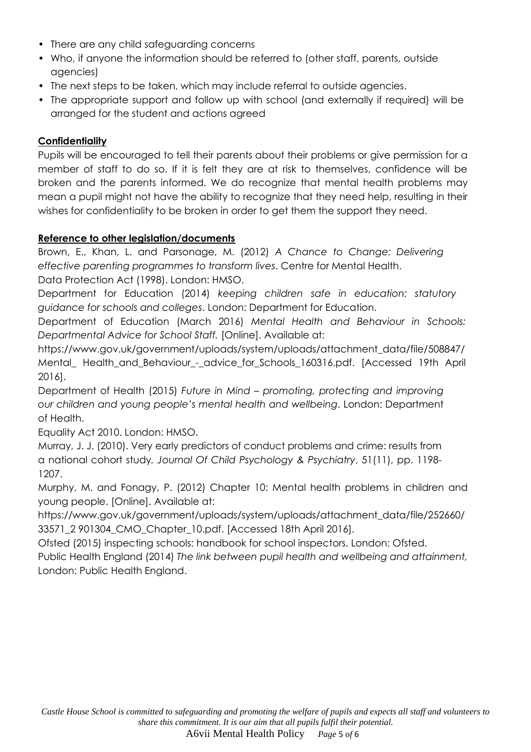- There are any child safeguarding concerns
- Who, if anyone the information should be referred to (other staff, parents, outside agencies)
- The next steps to be taken, which may include referral to outside agencies.
- The appropriate support and follow up with school (and externally if required) will be arranged for the student and actions agreed

#### **Confidentiality**

Pupils will be encouraged to tell their parents about their problems or give permission for a member of staff to do so. If it is felt they are at risk to themselves, confidence will be broken and the parents informed. We do recognize that mental health problems may mean a pupil might not have the ability to recognize that they need help, resulting in their wishes for confidentiality to be broken in order to get them the support they need.

#### **Reference to other legislation/documents**

Brown, E., Khan, L. and Parsonage, M. (2012) *A Chance to Change: Delivering effective parenting programmes to transform lives*. Centre for Mental Health. Data Protection Act (1998). London: HMSO.

Department for Education (2014) *keeping children safe in education: statutory guidance for schools and colleges*. London: Department for Education.

Department of Education (March 2016) *Mental Health and Behaviour in Schools: Departmental Advice for School Staff.* [Online]. Available at:

https://www.gov.uk/government/uploads/system/uploads/attachment\_data/file/508847/ Mental\_ Health\_and\_Behaviour\_-\_advice\_for\_Schools\_160316.pdf. [Accessed 19th April 2016].

Department of Health (2015) *Future in Mind – promoting, protecting and improving our children and young people's mental health and wellbeing*. London: Department of Health.

Equality Act 2010. London: HMSO.

Murray, J. J. (2010). Very early predictors of conduct problems and crime: results from a national cohort study*. Journal Of Child Psychology & Psychiatry*, 51(11), pp. 1198- 1207.

Murphy, M. and Fonagy, P. (2012) Chapter 10: Mental health problems in children and young people. [Online]. Available at:

https://www.gov.uk/government/uploads/system/uploads/attachment\_data/file/252660/ 33571\_2 901304\_CMO\_Chapter\_10.pdf. [Accessed 18th April 2016].

Ofsted (2015) inspecting schools: handbook for school inspectors. London: Ofsted. Public Health England (2014) *The link between pupil health and wellbeing and attainment,* 

London: Public Health England.

A6vii Mental Health Policy *Page* 5 *of* 6